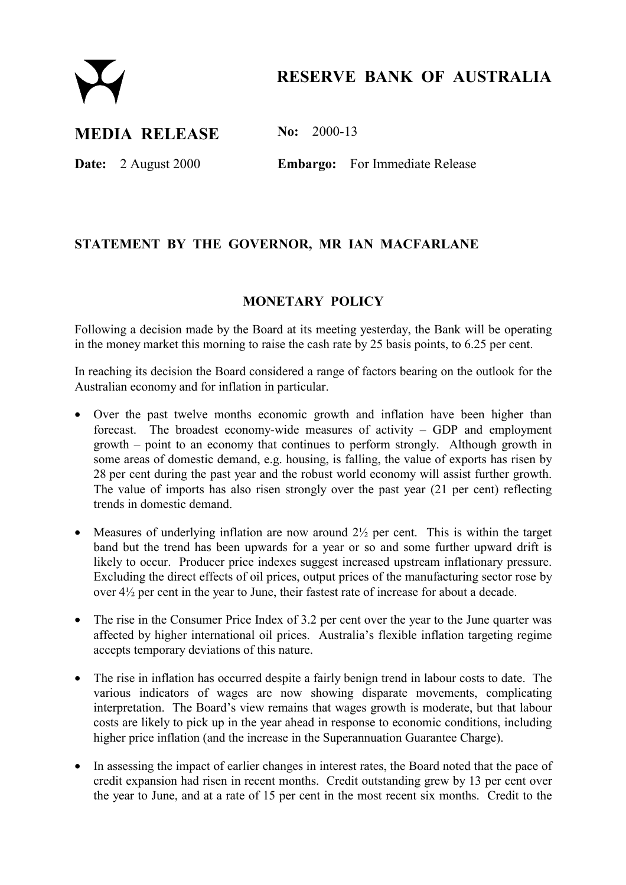

# **RESERVE BANK OF AUSTRALIA**

## **MEDIA RELEASE No: 2000-13**

**Date:** 2 August 2000 **Embargo:** For Immediate Release

### **STATEMENT BY THE GOVERNOR, MR IAN MACFARLANE**

#### **MONETARY POLICY**

Following a decision made by the Board at its meeting yesterday, the Bank will be operating in the money market this morning to raise the cash rate by 25 basis points, to 6.25 per cent.

In reaching its decision the Board considered a range of factors bearing on the outlook for the Australian economy and for inflation in particular.

- Over the past twelve months economic growth and inflation have been higher than forecast. The broadest economy-wide measures of activity  $-$  GDP and employment growth  $-$  point to an economy that continues to perform strongly. Although growth in some areas of domestic demand, e.g. housing, is falling, the value of exports has risen by 28 per cent during the past year and the robust world economy will assist further growth. The value of imports has also risen strongly over the past year (21 per cent) reflecting trends in domestic demand.
- Measures of underlying inflation are now around  $2\frac{1}{2}$  per cent. This is within the target band but the trend has been upwards for a year or so and some further upward drift is likely to occur. Producer price indexes suggest increased upstream inflationary pressure. Excluding the direct effects of oil prices, output prices of the manufacturing sector rose by over 4½ per cent in the year to June, their fastest rate of increase for about a decade.
- The rise in the Consumer Price Index of 3.2 per cent over the year to the June quarter was affected by higher international oil prices. Australia's flexible inflation targeting regime accepts temporary deviations of this nature.
- The rise in inflation has occurred despite a fairly benign trend in labour costs to date. The various indicators of wages are now showing disparate movements, complicating interpretation. The Board's view remains that wages growth is moderate, but that labour costs are likely to pick up in the year ahead in response to economic conditions, including higher price inflation (and the increase in the Superannuation Guarantee Charge).
- In assessing the impact of earlier changes in interest rates, the Board noted that the pace of credit expansion had risen in recent months. Credit outstanding grew by 13 per cent over the year to June, and at a rate of 15 per cent in the most recent six months. Credit to the